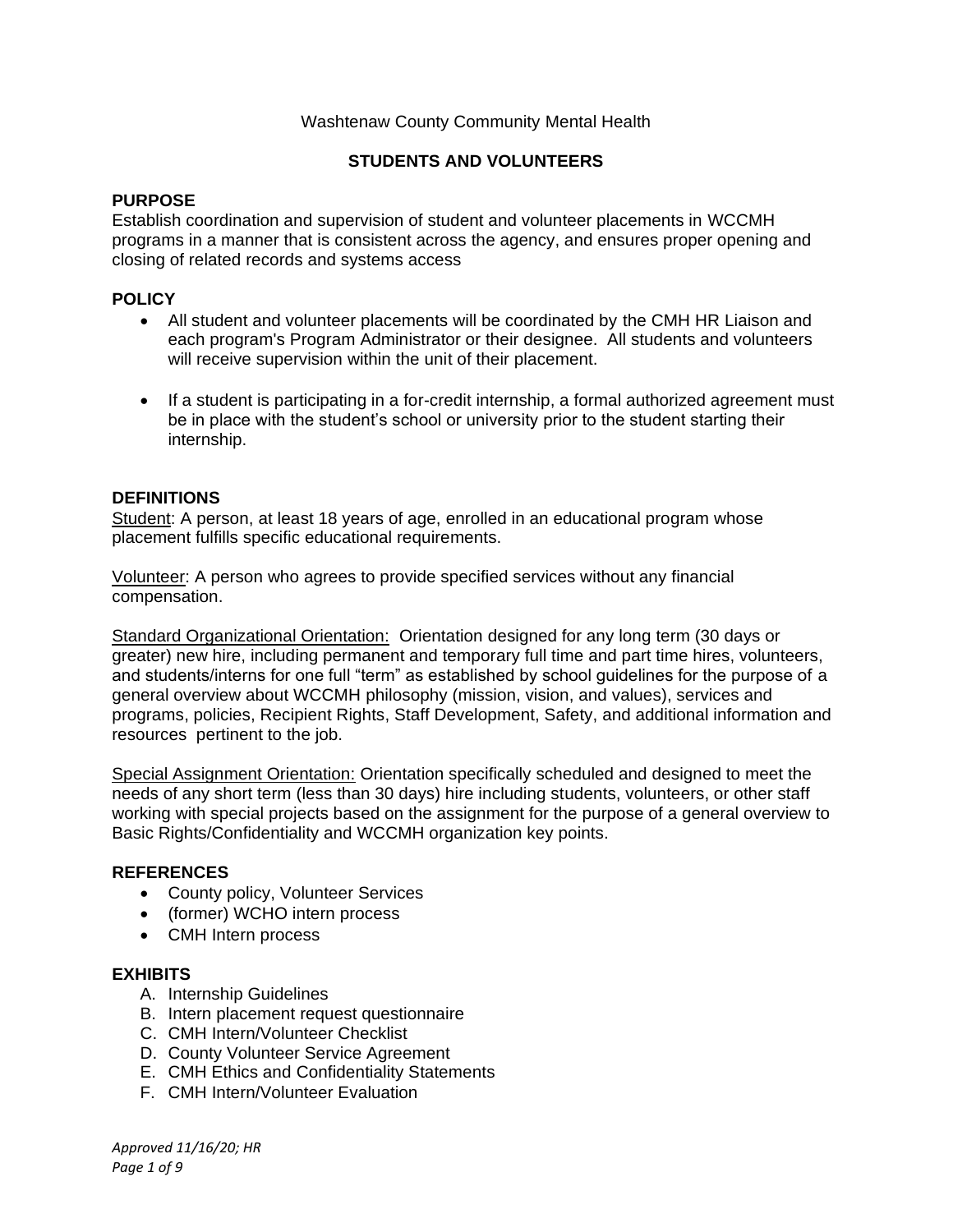### Washtenaw County Community Mental Health

## **STUDENTS AND VOLUNTEERS**

### **PURPOSE**

Establish coordination and supervision of student and volunteer placements in WCCMH programs in a manner that is consistent across the agency, and ensures proper opening and closing of related records and systems access

### **POLICY**

- All student and volunteer placements will be coordinated by the CMH HR Liaison and each program's Program Administrator or their designee. All students and volunteers will receive supervision within the unit of their placement.
- If a student is participating in a for-credit internship, a formal authorized agreement must be in place with the student's school or university prior to the student starting their internship.

### **DEFINITIONS**

Student: A person, at least 18 years of age, enrolled in an educational program whose placement fulfills specific educational requirements.

Volunteer: A person who agrees to provide specified services without any financial compensation.

Standard Organizational Orientation: Orientation designed for any long term (30 days or greater) new hire, including permanent and temporary full time and part time hires, volunteers, and students/interns for one full "term" as established by school guidelines for the purpose of a general overview about WCCMH philosophy (mission, vision, and values), services and programs, policies, Recipient Rights, Staff Development, Safety, and additional information and resources pertinent to the job.

Special Assignment Orientation: Orientation specifically scheduled and designed to meet the needs of any short term (less than 30 days) hire including students, volunteers, or other staff working with special projects based on the assignment for the purpose of a general overview to Basic Rights/Confidentiality and WCCMH organization key points.

#### **REFERENCES**

- County policy, Volunteer Services
- (former) WCHO intern process
- CMH Intern process

#### **EXHIBITS**

- A. Internship Guidelines
- B. Intern placement request questionnaire
- C. CMH Intern/Volunteer Checklist
- D. County Volunteer Service Agreement
- E. CMH Ethics and Confidentiality Statements
- F. CMH Intern/Volunteer Evaluation

*Approved 11/16/20; HR Page 1 of 9*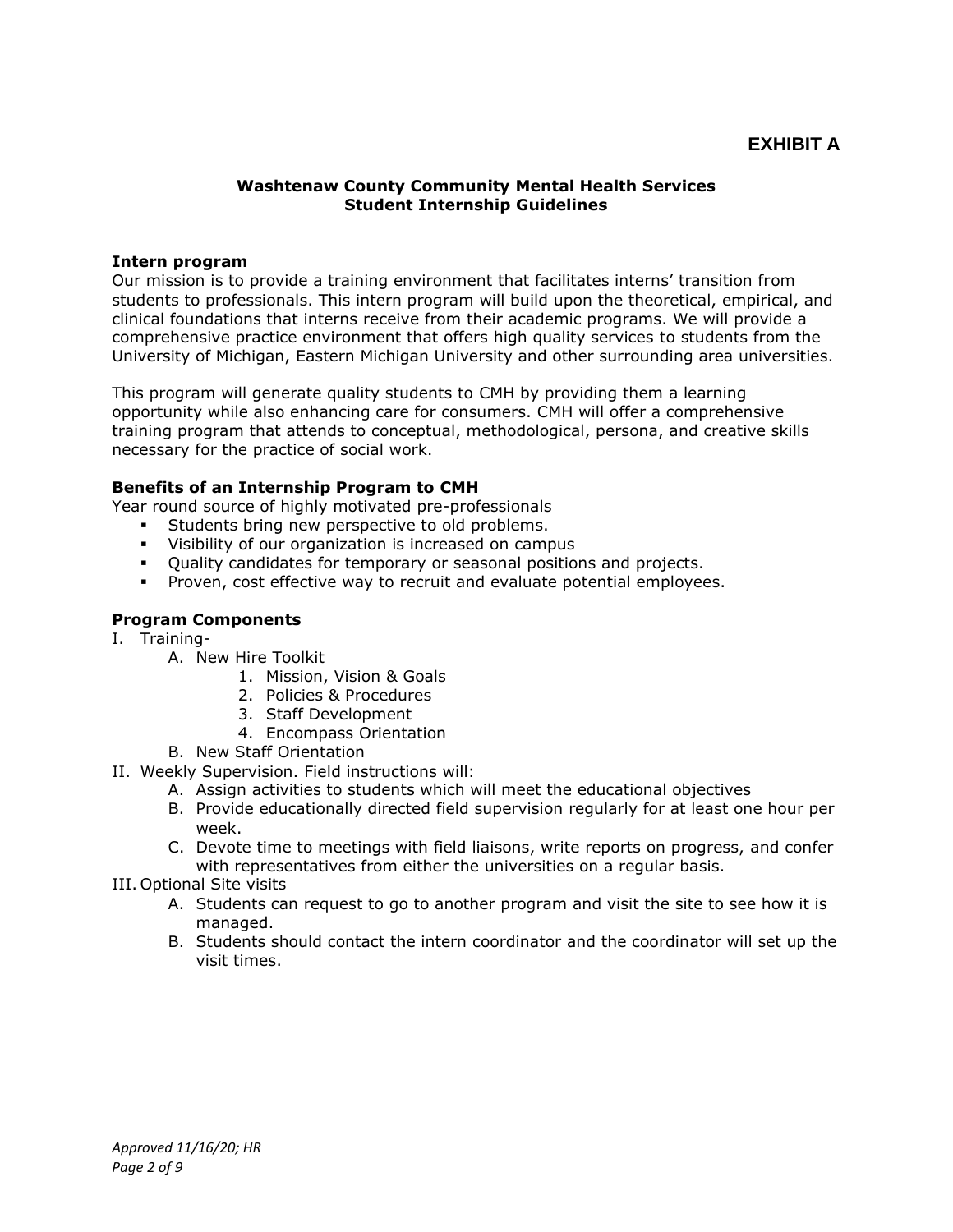# **EXHIBIT A**

#### **Washtenaw County Community Mental Health Services Student Internship Guidelines**

#### **Intern program**

Our mission is to provide a training environment that facilitates interns' transition from students to professionals. This intern program will build upon the theoretical, empirical, and clinical foundations that interns receive from their academic programs. We will provide a comprehensive practice environment that offers high quality services to students from the University of Michigan, Eastern Michigan University and other surrounding area universities.

This program will generate quality students to CMH by providing them a learning opportunity while also enhancing care for consumers. CMH will offer a comprehensive training program that attends to conceptual, methodological, persona, and creative skills necessary for the practice of social work.

#### **Benefits of an Internship Program to CMH**

Year round source of highly motivated pre-professionals

- **EXECT:** Students bring new perspective to old problems.
- Visibility of our organization is increased on campus
- Quality candidates for temporary or seasonal positions and projects.
- Proven, cost effective way to recruit and evaluate potential employees.

#### **Program Components**

- I. Training-
	- A. New Hire Toolkit
		- 1. Mission, Vision & Goals
		- 2. Policies & Procedures
		- 3. Staff Development
		- 4. Encompass Orientation
	- B. New Staff Orientation
- II. Weekly Supervision. Field instructions will:
	- A. Assign activities to students which will meet the educational objectives
	- B. Provide educationally directed field supervision regularly for at least one hour per week.
	- C. Devote time to meetings with field liaisons, write reports on progress, and confer with representatives from either the universities on a regular basis.
- III. Optional Site visits
	- A. Students can request to go to another program and visit the site to see how it is managed.
	- B. Students should contact the intern coordinator and the coordinator will set up the visit times.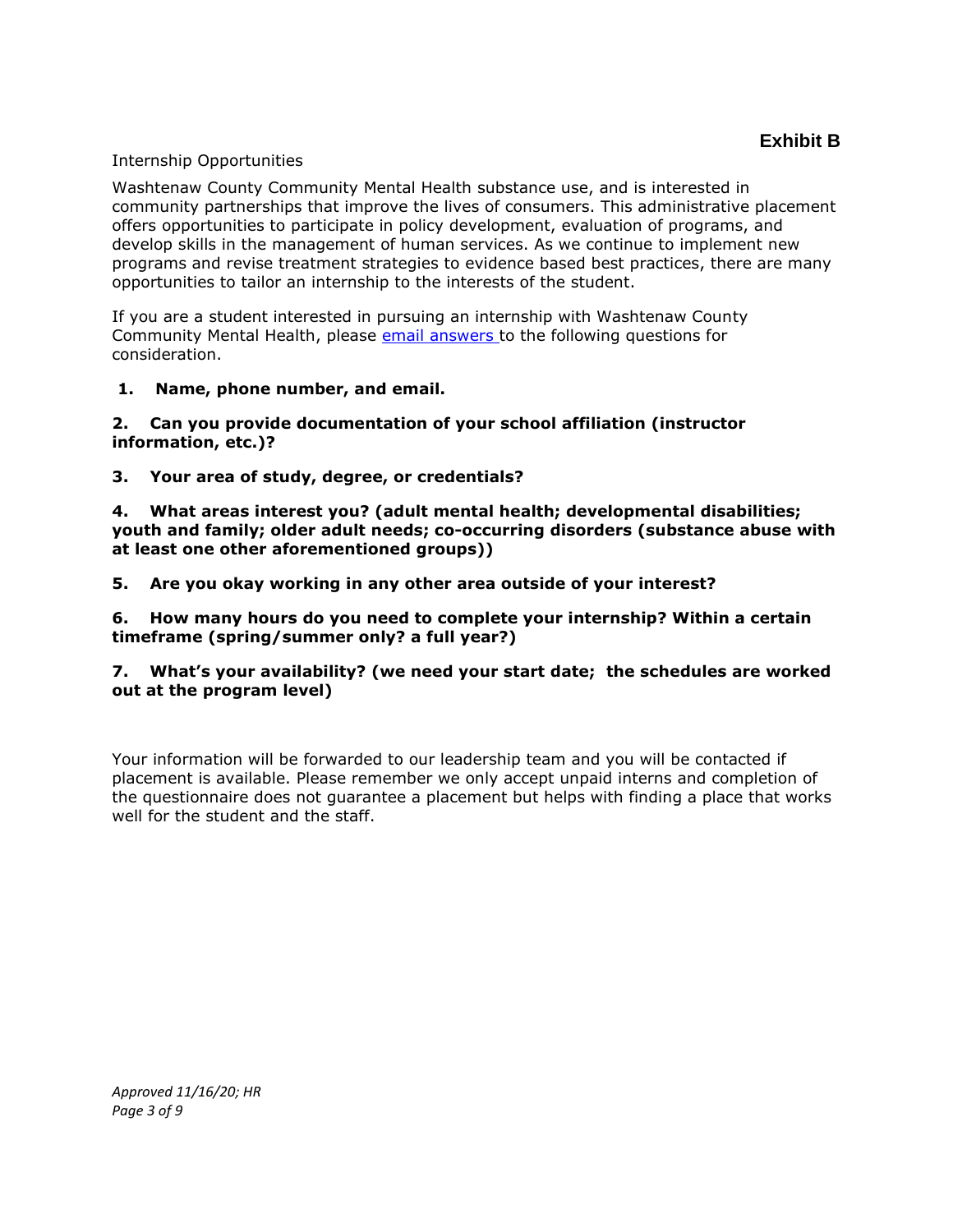#### Internship Opportunities

Washtenaw County Community Mental Health substance use, and is interested in community partnerships that improve the lives of consumers. This administrative placement offers opportunities to participate in policy development, evaluation of programs, and develop skills in the management of human services. As we continue to implement new programs and revise treatment strategies to evidence based best practices, there are many opportunities to tailor an internship to the interests of the student.

If you are a student interested in pursuing an internship with Washtenaw County Community Mental Health, please [email answers t](mailto:testorellin@ewashtenaw.org)o the following questions for consideration.

**1. Name, phone number, and email.**

### **2. Can you provide documentation of your school affiliation (instructor information, etc.)?**

**3. Your area of study, degree, or credentials?**

**4. What areas interest you? (adult mental health; developmental disabilities; youth and family; older adult needs; co-occurring disorders (substance abuse with at least one other aforementioned groups))**

**5. Are you okay working in any other area outside of your interest?**

**6. How many hours do you need to complete your internship? Within a certain timeframe (spring/summer only? a full year?)**

### **7. What's your availability? (we need your start date; the schedules are worked out at the program level)**

Your information will be forwarded to our leadership team and you will be contacted if placement is available. Please remember we only accept unpaid interns and completion of the questionnaire does not guarantee a placement but helps with finding a place that works well for the student and the staff.

*Approved 11/16/20; HR Page 3 of 9*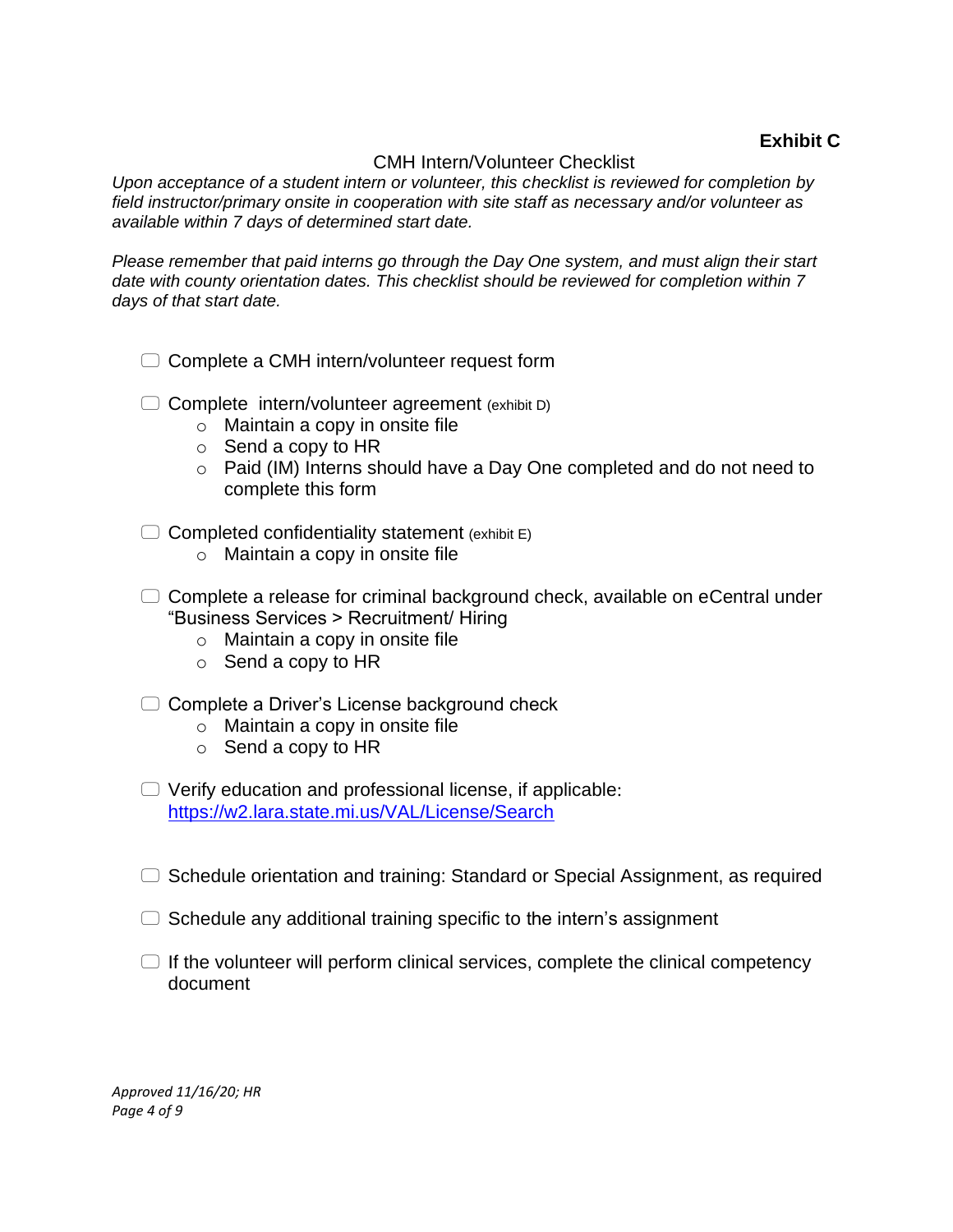# **Exhibit C**

## CMH Intern/Volunteer Checklist

*Upon acceptance of a student intern or volunteer, this checklist is reviewed for completion by field instructor/primary onsite in cooperation with site staff as necessary and/or volunteer as available within 7 days of determined start date.*

*Please remember that paid interns go through the Day One system, and must align their start date with county orientation dates. This checklist should be reviewed for completion within 7 days of that start date.*

- $\Box$  Complete a CMH intern/volunteer request form
- $\Box$  Complete intern/volunteer agreement (exhibit D)
	- o Maintain a copy in onsite file
	- $\circ$  Send a copy to HR
	- o Paid (IM) Interns should have a Day One completed and do not need to complete this form
- $\Box$  Completed confidentiality statement (exhibit E)
	- o Maintain a copy in onsite file
- $\Box$  Complete a release for criminal background check, available on eCentral under "Business Services > Recruitment/ Hiring
	- $\circ$  Maintain a copy in onsite file
	- o Send a copy to HR
- $\Box$  Complete a Driver's License background check
	- o Maintain a copy in onsite file
	- o Send a copy to HR
- $\Box$  Verify education and professional license, if applicable: <https://w2.lara.state.mi.us/VAL/License/Search>
- $\Box$  Schedule orientation and training: Standard or Special Assignment, as required
- $\Box$  Schedule any additional training specific to the intern's assignment
- $\Box$  If the volunteer will perform clinical services, complete the clinical competency document

*Approved 11/16/20; HR Page 4 of 9*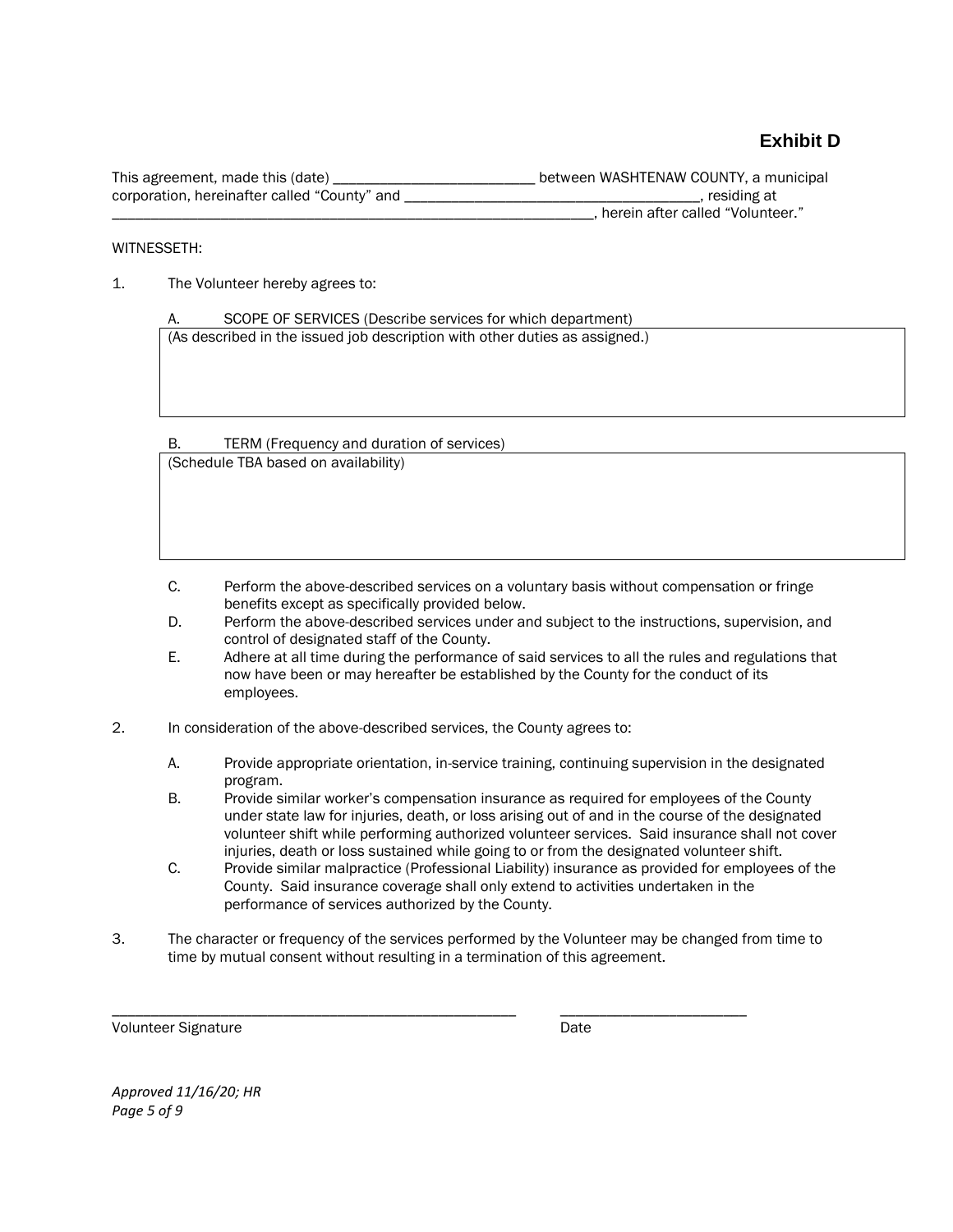# **Exhibit D**

| This agreement, made this (date)             | between WASHTENAW COUNTY, a municipal |
|----------------------------------------------|---------------------------------------|
| corporation, hereinafter called "County" and | , residing at                         |
|                                              | , herein after called "Volunteer."    |

#### WITNESSETH:

1. The Volunteer hereby agrees to:

SCOPE OF SERVICES (Describe services for which department) (As described in the issued job description with other duties as assigned.)

B. TERM (Frequency and duration of services)

(Schedule TBA based on availability)

- C. Perform the above-described services on a voluntary basis without compensation or fringe benefits except as specifically provided below.
- D. Perform the above-described services under and subject to the instructions, supervision, and control of designated staff of the County.
- E. Adhere at all time during the performance of said services to all the rules and regulations that now have been or may hereafter be established by the County for the conduct of its employees.
- 2. In consideration of the above-described services, the County agrees to:
	- A. Provide appropriate orientation, in-service training, continuing supervision in the designated program.
	- B. Provide similar worker's compensation insurance as required for employees of the County under state law for injuries, death, or loss arising out of and in the course of the designated volunteer shift while performing authorized volunteer services. Said insurance shall not cover injuries, death or loss sustained while going to or from the designated volunteer shift.
	- C. Provide similar malpractice (Professional Liability) insurance as provided for employees of the County. Said insurance coverage shall only extend to activities undertaken in the performance of services authorized by the County.
- 3. The character or frequency of the services performed by the Volunteer may be changed from time to time by mutual consent without resulting in a termination of this agreement.

\_\_\_\_\_\_\_\_\_\_\_\_\_\_\_\_\_\_\_\_\_\_\_\_\_\_\_\_\_\_\_\_\_\_\_\_\_\_\_\_\_\_\_\_\_\_\_\_\_\_\_\_ \_\_\_\_\_\_\_\_\_\_\_\_\_\_\_\_\_\_\_\_\_\_\_\_

Volunteer Signature **Date** 

*Approved 11/16/20; HR Page 5 of 9*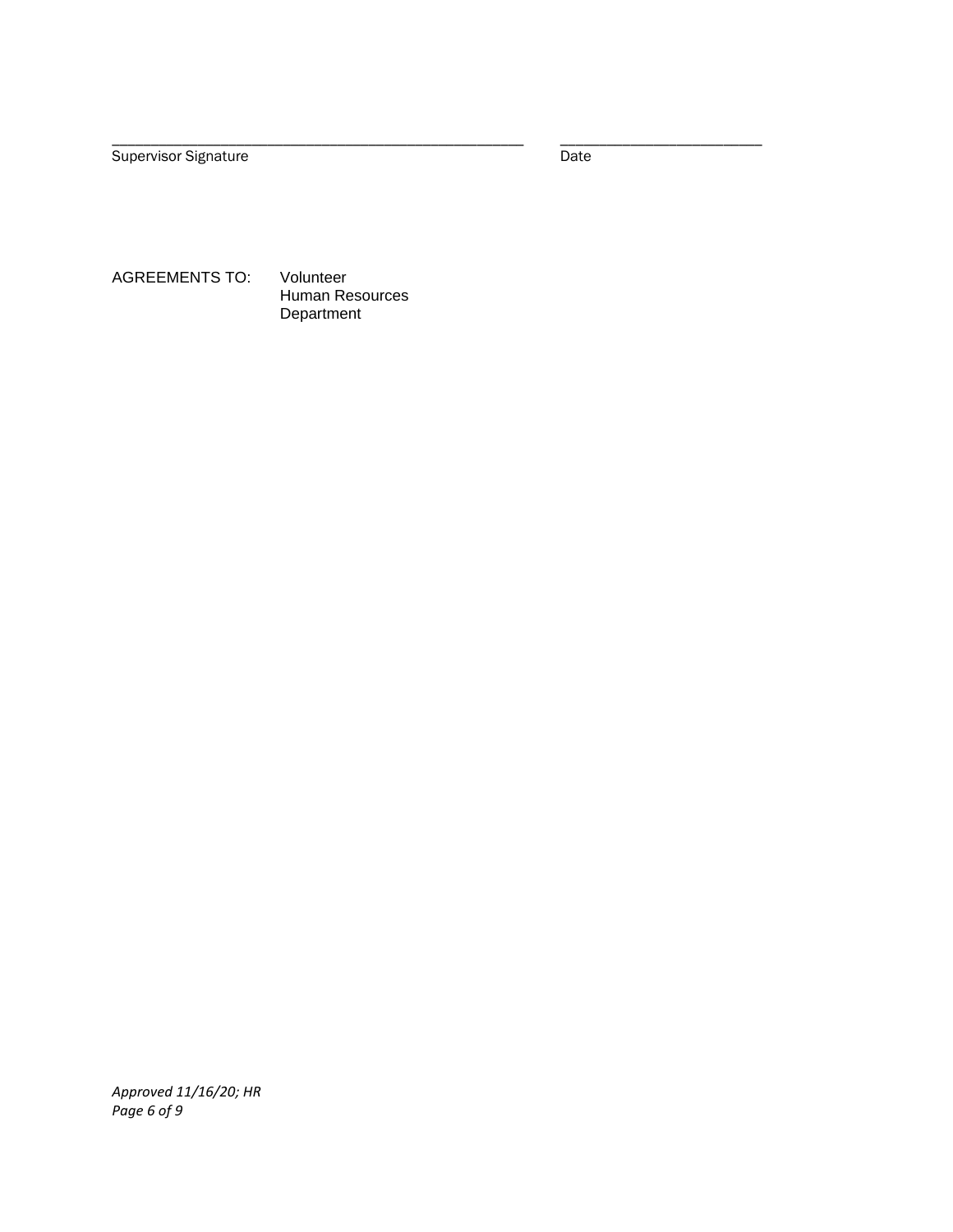Supervisor Signature Date Date Date

\_\_\_\_\_\_\_\_\_\_\_\_\_\_\_\_\_\_\_\_\_\_\_\_\_\_\_\_\_\_\_\_\_\_\_\_\_\_\_\_\_\_\_\_\_\_\_\_\_\_\_\_\_ \_\_\_\_\_\_\_\_\_\_\_\_\_\_\_\_\_\_\_\_\_\_\_\_\_\_

AGREEMENTS TO: Volunteer Human Resources Department

*Approved 11/16/20; HR Page 6 of 9*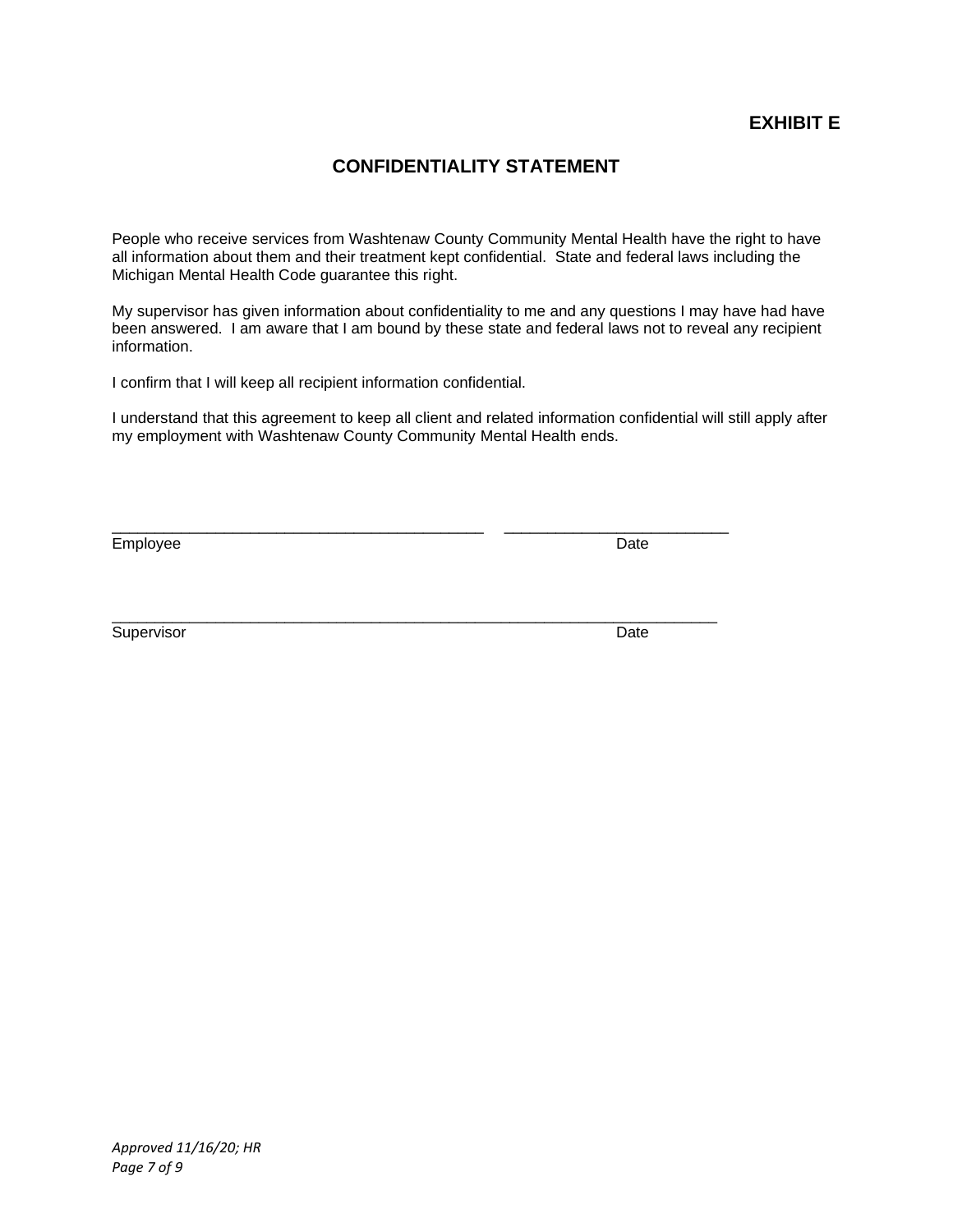# **EXHIBIT E**

# **CONFIDENTIALITY STATEMENT**

People who receive services from Washtenaw County Community Mental Health have the right to have all information about them and their treatment kept confidential. State and federal laws including the Michigan Mental Health Code guarantee this right.

My supervisor has given information about confidentiality to me and any questions I may have had have been answered. I am aware that I am bound by these state and federal laws not to reveal any recipient information.

I confirm that I will keep all recipient information confidential.

I understand that this agreement to keep all client and related information confidential will still apply after my employment with Washtenaw County Community Mental Health ends.

\_\_\_\_\_\_\_\_\_\_\_\_\_\_\_\_\_\_\_\_\_\_\_\_\_\_\_\_\_\_\_\_\_\_\_\_\_\_\_\_\_\_\_ \_\_\_\_\_\_\_\_\_\_\_\_\_\_\_\_\_\_\_\_\_\_\_\_\_\_

\_\_\_\_\_\_\_\_\_\_\_\_\_\_\_\_\_\_\_\_\_\_\_\_\_\_\_\_\_\_\_\_\_\_\_\_\_\_\_\_\_\_\_\_\_\_\_\_\_\_\_\_\_\_\_\_\_\_\_\_\_\_\_\_\_\_\_\_\_\_

Employee Date

Supervisor Date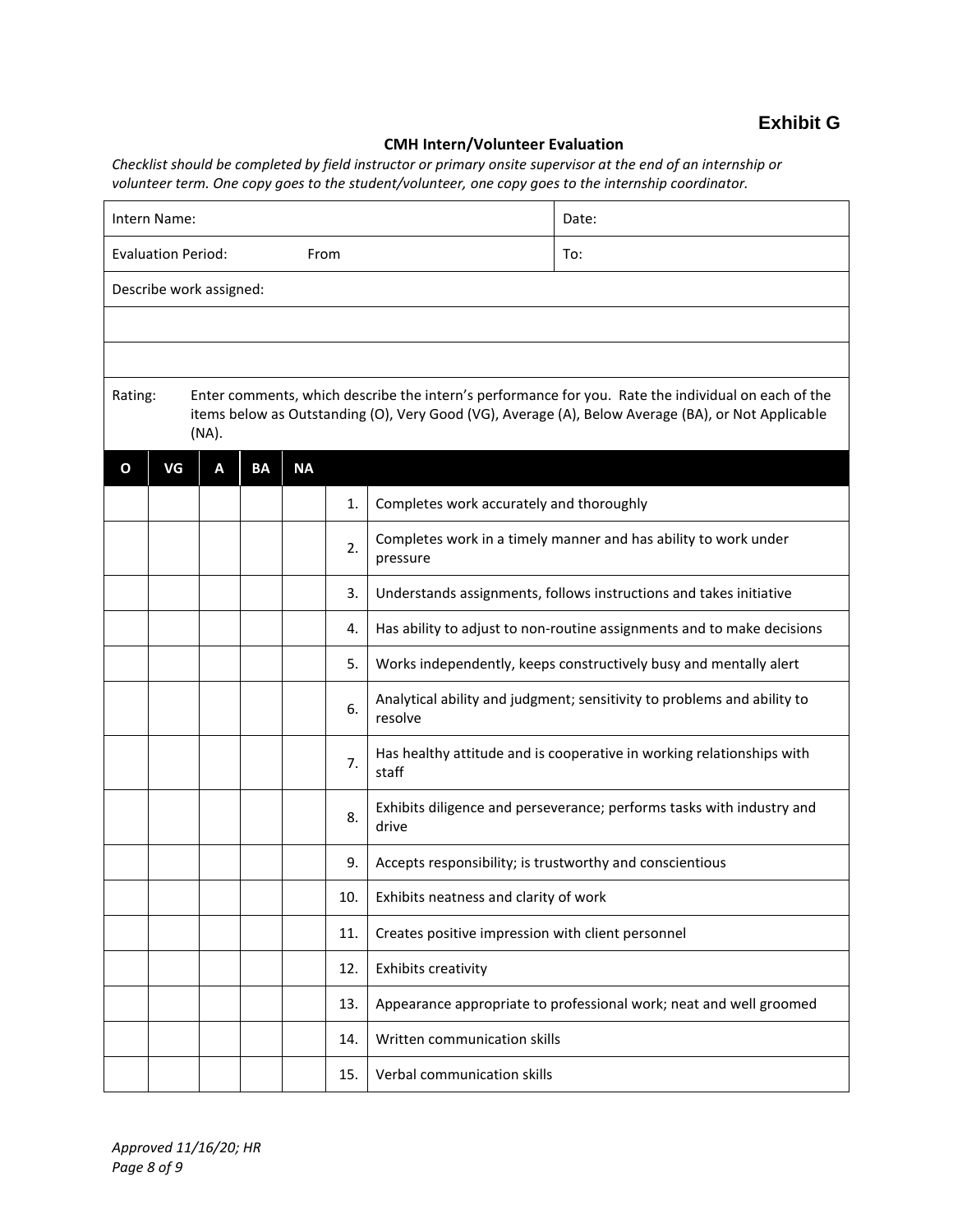#### **CMH Intern/Volunteer Evaluation**

*Checklist should be completed by field instructor or primary onsite supervisor at the end of an internship or volunteer term. One copy goes to the student/volunteer, one copy goes to the internship coordinator.*

| Intern Name:                                                                                                                                                                                                                  |    |   |           |           |     | Date:                                                                              |                                                                        |  |  |
|-------------------------------------------------------------------------------------------------------------------------------------------------------------------------------------------------------------------------------|----|---|-----------|-----------|-----|------------------------------------------------------------------------------------|------------------------------------------------------------------------|--|--|
| <b>Evaluation Period:</b><br>From                                                                                                                                                                                             |    |   |           |           |     | To:                                                                                |                                                                        |  |  |
| Describe work assigned:                                                                                                                                                                                                       |    |   |           |           |     |                                                                                    |                                                                        |  |  |
|                                                                                                                                                                                                                               |    |   |           |           |     |                                                                                    |                                                                        |  |  |
|                                                                                                                                                                                                                               |    |   |           |           |     |                                                                                    |                                                                        |  |  |
| Enter comments, which describe the intern's performance for you. Rate the individual on each of the<br>Rating:<br>items below as Outstanding (O), Very Good (VG), Average (A), Below Average (BA), or Not Applicable<br>(NA). |    |   |           |           |     |                                                                                    |                                                                        |  |  |
| O                                                                                                                                                                                                                             | VG | А | <b>BA</b> | <b>NA</b> |     |                                                                                    |                                                                        |  |  |
|                                                                                                                                                                                                                               |    |   |           |           | 1.  | Completes work accurately and thoroughly                                           |                                                                        |  |  |
|                                                                                                                                                                                                                               |    |   |           |           | 2.  | Completes work in a timely manner and has ability to work under<br>pressure        |                                                                        |  |  |
|                                                                                                                                                                                                                               |    |   |           |           | 3.  | Understands assignments, follows instructions and takes initiative                 |                                                                        |  |  |
|                                                                                                                                                                                                                               |    |   |           |           | 4.  |                                                                                    | Has ability to adjust to non-routine assignments and to make decisions |  |  |
|                                                                                                                                                                                                                               |    |   |           |           | 5.  | Works independently, keeps constructively busy and mentally alert                  |                                                                        |  |  |
|                                                                                                                                                                                                                               |    |   |           |           | 6.  | Analytical ability and judgment; sensitivity to problems and ability to<br>resolve |                                                                        |  |  |
|                                                                                                                                                                                                                               |    |   |           |           | 7.  | Has healthy attitude and is cooperative in working relationships with<br>staff     |                                                                        |  |  |
|                                                                                                                                                                                                                               |    |   |           |           | 8.  | Exhibits diligence and perseverance; performs tasks with industry and<br>drive     |                                                                        |  |  |
|                                                                                                                                                                                                                               |    |   |           |           | 9.  | Accepts responsibility; is trustworthy and conscientious                           |                                                                        |  |  |
|                                                                                                                                                                                                                               |    |   |           |           | 10. | Exhibits neatness and clarity of work                                              |                                                                        |  |  |
|                                                                                                                                                                                                                               |    |   |           |           | 11. | Creates positive impression with client personnel                                  |                                                                        |  |  |
|                                                                                                                                                                                                                               |    |   |           |           | 12. | <b>Exhibits creativity</b>                                                         |                                                                        |  |  |
|                                                                                                                                                                                                                               |    |   |           |           | 13. |                                                                                    | Appearance appropriate to professional work; neat and well groomed     |  |  |
|                                                                                                                                                                                                                               |    |   |           |           | 14. | Written communication skills                                                       |                                                                        |  |  |
|                                                                                                                                                                                                                               |    |   |           |           | 15. | Verbal communication skills                                                        |                                                                        |  |  |